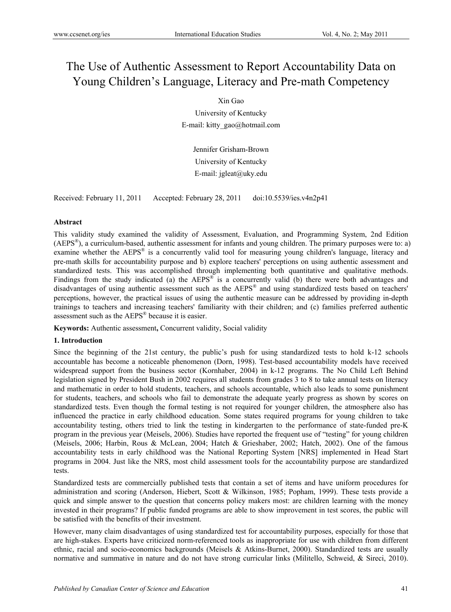# The Use of Authentic Assessment to Report Accountability Data on Young Children's Language, Literacy and Pre-math Competency

## Xin Gao

University of Kentucky E-mail: kitty\_gao@hotmail.com

> Jennifer Grisham-Brown University of Kentucky E-mail: jgleat@uky.edu

Received: February 11, 2011 Accepted: February 28, 2011 doi:10.5539/ies.v4n2p41

## **Abstract**

This validity study examined the validity of Assessment, Evaluation, and Programming System, 2nd Edition (AEPS®), a curriculum-based, authentic assessment for infants and young children. The primary purposes were to: a) examine whether the AEPS® is a concurrently valid tool for measuring young children's language, literacy and pre-math skills for accountability purpose and b) explore teachers' perceptions on using authentic assessment and standardized tests. This was accomplished through implementing both quantitative and qualitative methods. Findings from the study indicated (a) the AEPS<sup>®</sup> is a concurrently valid (b) there were both advantages and disadvantages of using authentic assessment such as the AEPS® and using standardized tests based on teachers' perceptions, however, the practical issues of using the authentic measure can be addressed by providing in-depth trainings to teachers and increasing teachers' familiarity with their children; and (c) families preferred authentic assessment such as the AEPS® because it is easier.

**Keywords:** Authentic assessment**,** Concurrent validity, Social validity

#### **1. Introduction**

Since the beginning of the 21st century, the public's push for using standardized tests to hold k-12 schools accountable has become a noticeable phenomenon (Dorn, 1998). Test-based accountability models have received widespread support from the business sector (Kornhaber, 2004) in k-12 programs. The No Child Left Behind legislation signed by President Bush in 2002 requires all students from grades 3 to 8 to take annual tests on literacy and mathematic in order to hold students, teachers, and schools accountable, which also leads to some punishment for students, teachers, and schools who fail to demonstrate the adequate yearly progress as shown by scores on standardized tests. Even though the formal testing is not required for younger children, the atmosphere also has influenced the practice in early childhood education. Some states required programs for young children to take accountability testing, others tried to link the testing in kindergarten to the performance of state-funded pre-K program in the previous year (Meisels, 2006). Studies have reported the frequent use of "testing" for young children (Meisels, 2006; Harbin, Rous & McLean, 2004; Hatch & Grieshaber, 2002; Hatch, 2002). One of the famous accountability tests in early childhood was the National Reporting System [NRS] implemented in Head Start programs in 2004. Just like the NRS, most child assessment tools for the accountability purpose are standardized tests.

Standardized tests are commercially published tests that contain a set of items and have uniform procedures for administration and scoring (Anderson, Hiebert, Scott & Wilkinson, 1985; Popham, 1999). These tests provide a quick and simple answer to the question that concerns policy makers most: are children learning with the money invested in their programs? If public funded programs are able to show improvement in test scores, the public will be satisfied with the benefits of their investment.

However, many claim disadvantages of using standardized test for accountability purposes, especially for those that are high-stakes. Experts have criticized norm-referenced tools as inappropriate for use with children from different ethnic, racial and socio-economics backgrounds (Meisels & Atkins-Burnet, 2000). Standardized tests are usually normative and summative in nature and do not have strong curricular links (Militello, Schweid, & Sireci, 2010).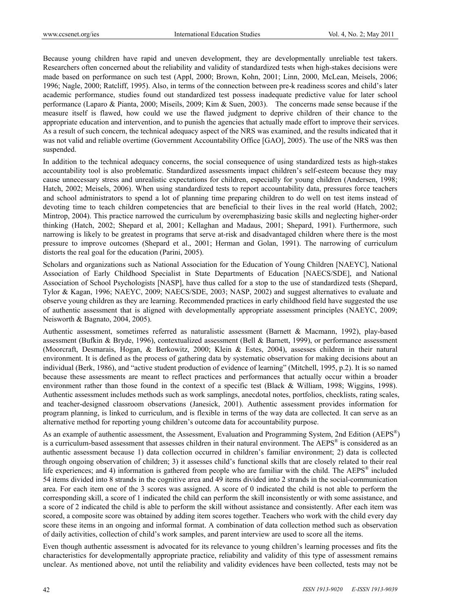Because young children have rapid and uneven development, they are developmentally unreliable test takers. Researchers often concerned about the reliability and validity of standardized tests when high-stakes decisions were made based on performance on such test (Appl, 2000; Brown, Kohn, 2001; Linn, 2000, McLean, Meisels, 2006; 1996; Nagle, 2000; Ratcliff, 1995). Also, in terms of the connection between pre-k readiness scores and child's later academic performance, studies found out standardized test possess inadequate predictive value for later school performance (Laparo & Pianta, 2000; Miseils, 2009; Kim & Suen, 2003). The concerns made sense because if the measure itself is flawed, how could we use the flawed judgment to deprive children of their chance to the appropriate education and intervention, and to punish the agencies that actually made effort to improve their services. As a result of such concern, the technical adequacy aspect of the NRS was examined, and the results indicated that it was not valid and reliable overtime (Government Accountability Office [GAO], 2005). The use of the NRS was then suspended.

In addition to the technical adequacy concerns, the social consequence of using standardized tests as high-stakes accountability tool is also problematic. Standardized assessments impact children's self-esteem because they may cause unnecessary stress and unrealistic expectations for children, especially for young children (Andersen, 1998; Hatch, 2002; Meisels, 2006). When using standardized tests to report accountability data, pressures force teachers and school administrators to spend a lot of planning time preparing children to do well on test items instead of devoting time to teach children competencies that are beneficial to their lives in the real world (Hatch, 2002; Mintrop, 2004). This practice narrowed the curriculum by overemphasizing basic skills and neglecting higher-order thinking (Hatch, 2002; Shepard et al, 2001; Kellaghan and Madaus, 2001; Shepard, 1991). Furthermore, such narrowing is likely to be greatest in programs that serve at-risk and disadvantaged children where there is the most pressure to improve outcomes (Shepard et al., 2001; Herman and Golan, 1991). The narrowing of curriculum distorts the real goal for the education (Parini, 2005).

Scholars and organizations such as National Association for the Education of Young Children [NAEYC], National Association of Early Childhood Specialist in State Departments of Education [NAECS/SDE], and National Association of School Psychologists [NASP], have thus called for a stop to the use of standardized tests (Shepard, Tylor & Kagan, 1996; NAEYC, 2009; NAECS/SDE, 2003; NASP, 2002) and suggest alternatives to evaluate and observe young children as they are learning. Recommended practices in early childhood field have suggested the use of authentic assessment that is aligned with developmentally appropriate assessment principles (NAEYC, 2009; Neisworth & Bagnato, 2004, 2005).

Authentic assessment, sometimes referred as naturalistic assessment (Barnett & Macmann, 1992), play-based assessment (Bufkin & Bryde, 1996), contextualized assessment (Bell & Barnett, 1999), or performance assessment (Moorcraft, Desmarais, Hogan, & Berkowitz, 2000; Klein & Estes, 2004), assesses children in their natural environment. It is defined as the process of gathering data by systematic observation for making decisions about an individual (Berk, 1986), and "active student production of evidence of learning" (Mitchell, 1995, p.2). It is so named because these assessments are meant to reflect practices and performances that actually occur within a broader environment rather than those found in the context of a specific test (Black & William, 1998; Wiggins, 1998). Authentic assessment includes methods such as work samplings, anecdotal notes, portfolios, checklists, rating scales, and teacher-designed classroom observations (Janesick, 2001). Authentic assessment provides information for program planning, is linked to curriculum, and is flexible in terms of the way data are collected. It can serve as an alternative method for reporting young children's outcome data for accountability purpose.

As an example of authentic assessment, the Assessment, Evaluation and Programming System, 2nd Edition (AEPS®) is a curriculum-based assessment that assesses children in their natural environment. The AEPS<sup>®</sup> is considered as an authentic assessment because 1) data collection occurred in children's familiar environment; 2) data is collected through ongoing observation of children; 3) it assesses child's functional skills that are closely related to their real life experiences; and 4) information is gathered from people who are familiar with the child. The AEPS<sup>®</sup> included 54 items divided into 8 strands in the cognitive area and 49 items divided into 2 strands in the social-communication area. For each item one of the 3 scores was assigned. A score of 0 indicated the child is not able to perform the corresponding skill, a score of 1 indicated the child can perform the skill inconsistently or with some assistance, and a score of 2 indicated the child is able to perform the skill without assistance and consistently. After each item was scored, a composite score was obtained by adding item scores together. Teachers who work with the child every day score these items in an ongoing and informal format. A combination of data collection method such as observation of daily activities, collection of child's work samples, and parent interview are used to score all the items.

Even though authentic assessment is advocated for its relevance to young children's learning processes and fits the characteristics for developmentally appropriate practice, reliability and validity of this type of assessment remains unclear. As mentioned above, not until the reliability and validity evidences have been collected, tests may not be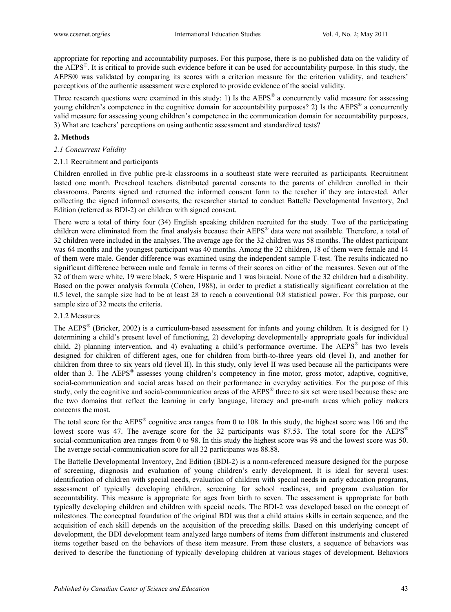appropriate for reporting and accountability purposes. For this purpose, there is no published data on the validity of the AEPS®. It is critical to provide such evidence before it can be used for accountability purpose. In this study, the AEPS® was validated by comparing its scores with a criterion measure for the criterion validity, and teachers' perceptions of the authentic assessment were explored to provide evidence of the social validity.

Three research questions were examined in this study: 1) Is the AEPS<sup>®</sup> a concurrently valid measure for assessing young children's competence in the cognitive domain for accountability purposes? 2) Is the AEPS® a concurrently valid measure for assessing young children's competence in the communication domain for accountability purposes, 3) What are teachers' perceptions on using authentic assessment and standardized tests?

#### **2. Methods**

## *2.1 Concurrent Validity*

## 2.1.1 Recruitment and participants

Children enrolled in five public pre-k classrooms in a southeast state were recruited as participants. Recruitment lasted one month. Preschool teachers distributed parental consents to the parents of children enrolled in their classrooms. Parents signed and returned the informed consent form to the teacher if they are interested. After collecting the signed informed consents, the researcher started to conduct Battelle Developmental Inventory, 2nd Edition (referred as BDI-2) on children with signed consent.

There were a total of thirty four (34) English speaking children recruited for the study. Two of the participating children were eliminated from the final analysis because their AEPS® data were not available. Therefore, a total of 32 children were included in the analyses. The average age for the 32 children was 58 months. The oldest participant was 64 months and the youngest participant was 40 months. Among the 32 children, 18 of them were female and 14 of them were male. Gender difference was examined using the independent sample T-test. The results indicated no significant difference between male and female in terms of their scores on either of the measures. Seven out of the 32 of them were white, 19 were black, 5 were Hispanic and 1 was biracial. None of the 32 children had a disability. Based on the power analysis formula (Cohen, 1988), in order to predict a statistically significant correlation at the 0.5 level, the sample size had to be at least 28 to reach a conventional 0.8 statistical power. For this purpose, our sample size of 32 meets the criteria.

#### 2.1.2 Measures

The AEPS® (Bricker, 2002) is a curriculum-based assessment for infants and young children. It is designed for 1) determining a child's present level of functioning, 2) developing developmentally appropriate goals for individual child, 2) planning intervention, and 4) evaluating a child's performance overtime. The AEPS<sup>®</sup> has two levels designed for children of different ages, one for children from birth-to-three years old (level I), and another for children from three to six years old (level II). In this study, only level II was used because all the participants were older than 3. The AEPS® assesses young children's competency in fine motor, gross motor, adaptive, cognitive, social-communication and social areas based on their performance in everyday activities. For the purpose of this study, only the cognitive and social-communication areas of the AEPS® three to six set were used because these are the two domains that reflect the learning in early language, literacy and pre-math areas which policy makers concerns the most.

The total score for the AEPS<sup>®</sup> cognitive area ranges from 0 to 108. In this study, the highest score was 106 and the lowest score was 47. The average score for the 32 participants was 87.53. The total score for the AEPS<sup>®</sup> social-communication area ranges from 0 to 98. In this study the highest score was 98 and the lowest score was 50. The average social-communication score for all 32 participants was 88.88.

The Battelle Developmental Inventory, 2nd Edition (BDI-2) is a norm-referenced measure designed for the purpose of screening, diagnosis and evaluation of young children's early development. It is ideal for several uses: identification of children with special needs, evaluation of children with special needs in early education programs, assessment of typically developing children, screening for school readiness, and program evaluation for accountability. This measure is appropriate for ages from birth to seven. The assessment is appropriate for both typically developing children and children with special needs. The BDI-2 was developed based on the concept of milestones. The conceptual foundation of the original BDI was that a child attains skills in certain sequence, and the acquisition of each skill depends on the acquisition of the preceding skills. Based on this underlying concept of development, the BDI development team analyzed large numbers of items from different instruments and clustered items together based on the behaviors of these item measure. From these clusters, a sequence of behaviors was derived to describe the functioning of typically developing children at various stages of development. Behaviors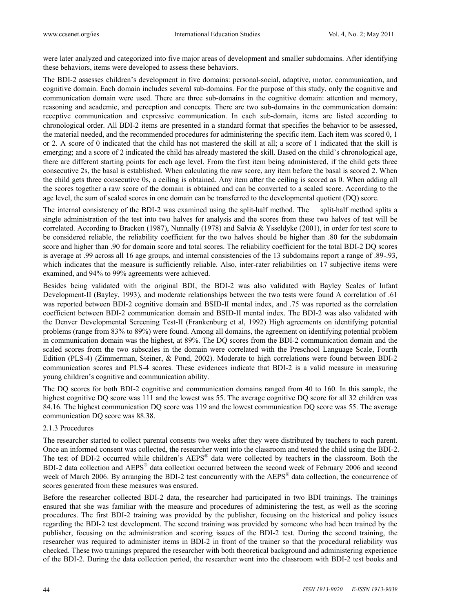were later analyzed and categorized into five major areas of development and smaller subdomains. After identifying these behaviors, items were developed to assess these behaviors.

The BDI-2 assesses children's development in five domains: personal-social, adaptive, motor, communication, and cognitive domain. Each domain includes several sub-domains. For the purpose of this study, only the cognitive and communication domain were used. There are three sub-domains in the cognitive domain: attention and memory, reasoning and academic, and perception and concepts. There are two sub-domains in the communication domain: receptive communication and expressive communication. In each sub-domain, items are listed according to chronological order. All BDI-2 items are presented in a standard format that specifies the behavior to be assessed, the material needed, and the recommended procedures for administering the specific item. Each item was scored 0, 1 or 2. A score of 0 indicated that the child has not mastered the skill at all; a score of 1 indicated that the skill is emerging; and a score of 2 indicated the child has already mastered the skill. Based on the child's chronological age, there are different starting points for each age level. From the first item being administered, if the child gets three consecutive 2s, the basal is established. When calculating the raw score, any item before the basal is scored 2. When the child gets three consecutive 0s, a ceiling is obtained. Any item after the ceiling is scored as 0. When adding all the scores together a raw score of the domain is obtained and can be converted to a scaled score. According to the age level, the sum of scaled scores in one domain can be transferred to the developmental quotient (DQ) score.

The internal consistency of the BDI-2 was examined using the split-half method. The split-half method splits a single administration of the test into two halves for analysis and the scores from these two halves of test will be correlated. According to Bracken (1987), Nunnally (1978) and Salvia & Ysseldyke (2001), in order for test score to be considered reliable, the reliability coefficient for the two halves should be higher than .80 for the subdomain score and higher than .90 for domain score and total scores. The reliability coefficient for the total BDI-2 DQ scores is average at .99 across all 16 age groups, and internal consistencies of the 13 subdomains report a range of .89-.93, which indicates that the measure is sufficiently reliable. Also, inter-rater reliabilities on 17 subjective items were examined, and 94% to 99% agreements were achieved.

Besides being validated with the original BDI, the BDI-2 was also validated with Bayley Scales of Infant Development-II (Bayley, 1993), and moderate relationships between the two tests were found A correlation of .61 was reported between BDI-2 cognitive domain and BSID-II mental index, and .75 was reported as the correlation coefficient between BDI-2 communication domain and BSID-II mental index. The BDI-2 was also validated with the Denver Developmental Screening Test-II (Frankenburg et al, 1992) High agreements on identifying potential problems (range from 83% to 89%) were found. Among all domains, the agreement on identifying potential problem in communication domain was the highest, at 89%. The DQ scores from the BDI-2 communication domain and the scaled scores from the two subscales in the domain were correlated with the Preschool Language Scale, Fourth Edition (PLS-4) (Zimmerman, Steiner, & Pond, 2002). Moderate to high correlations were found between BDI-2 communication scores and PLS-4 scores. These evidences indicate that BDI-2 is a valid measure in measuring young children's cognitive and communication ability.

The DQ scores for both BDI-2 cognitive and communication domains ranged from 40 to 160. In this sample, the highest cognitive DO score was 111 and the lowest was 55. The average cognitive DO score for all 32 children was 84.16. The highest communication DQ score was 119 and the lowest communication DQ score was 55. The average communication DQ score was 88.38.

#### 2.1.3 Procedures

The researcher started to collect parental consents two weeks after they were distributed by teachers to each parent. Once an informed consent was collected, the researcher went into the classroom and tested the child using the BDI-2. The test of BDI-2 occurred while children's AEPS® data were collected by teachers in the classroom. Both the BDI-2 data collection and AEPS<sup>®</sup> data collection occurred between the second week of February 2006 and second week of March 2006. By arranging the BDI-2 test concurrently with the AEPS<sup>®</sup> data collection, the concurrence of scores generated from these measures was ensured.

Before the researcher collected BDI-2 data, the researcher had participated in two BDI trainings. The trainings ensured that she was familiar with the measure and procedures of administering the test, as well as the scoring procedures. The first BDI-2 training was provided by the publisher, focusing on the historical and policy issues regarding the BDI-2 test development. The second training was provided by someone who had been trained by the publisher, focusing on the administration and scoring issues of the BDI-2 test. During the second training, the researcher was required to administer items in BDI-2 in front of the trainer so that the procedural reliability was checked. These two trainings prepared the researcher with both theoretical background and administering experience of the BDI-2. During the data collection period, the researcher went into the classroom with BDI-2 test books and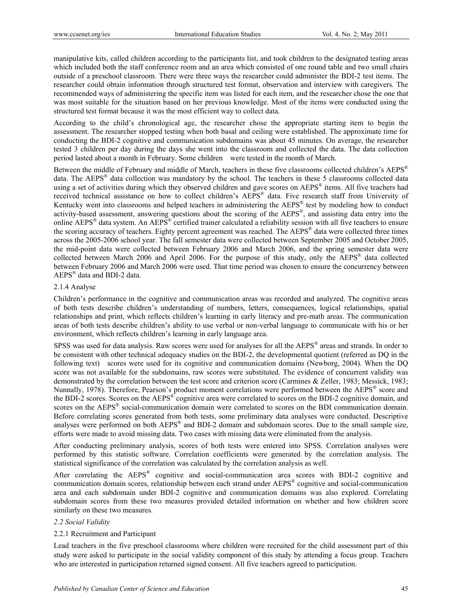manipulative kits, called children according to the participants list, and took children to the designated testing areas which included both the staff conference room and an area which consisted of one round table and two small chairs outside of a preschool classroom. There were three ways the researcher could administer the BDI-2 test items. The researcher could obtain information through structured test format, observation and interview with caregivers. The recommended ways of administering the specific item was listed for each item, and the researcher chose the one that was most suitable for the situation based on her previous knowledge. Most of the items were conducted using the structured test format because it was the most efficient way to collect data.

According to the child's chronological age, the researcher chose the appropriate starting item to begin the assessment. The researcher stopped testing when both basal and ceiling were established. The approximate time for conducting the BDI-2 cognitive and communication subdomains was about 45 minutes. On average, the researcher tested 3 children per day during the days she went into the classroom and collected the data. The data collection period lasted about a month in February. Some children were tested in the month of March.

Between the middle of February and middle of March, teachers in these five classrooms collected children's AEPS® data. The AEPS® data collection was mandatory by the school. The teachers in these 5 classrooms collected data using a set of activities during which they observed children and gave scores on AEPS<sup>®</sup> items. All five teachers had received technical assistance on how to collect children's AEPS® data. Five research staff from University of Kentucky went into classrooms and helped teachers in administering the AEPS® test by modeling how to conduct activity-based assessment, answering questions about the scoring of the AEPS®, and assisting data entry into the online  $AEPS^{\circledR}$  data system. An  $AEPS^{\circledR}$  certified trainer calculated a reliability session with all five teachers to ensure the scoring accuracy of teachers. Eighty percent agreement was reached. The AEPS® data were collected three times across the 2005-2006 school year. The fall semester data were collected between September 2005 and October 2005, the mid-point data were collected between February 2006 and March 2006, and the spring semester data were collected between March 2006 and April 2006. For the purpose of this study, only the AEPS® data collected between February 2006 and March 2006 were used. That time period was chosen to ensure the concurrency between AEPS® data and BDI-2 data.

#### 2.1.4 Analyse

Children's performance in the cognitive and communication areas was recorded and analyzed. The cognitive areas of both tests describe children's understanding of numbers, letters, consequences, logical relationships, spatial relationships and print, which reflects children's learning in early literacy and pre-math areas. The communication areas of both tests describe children's ability to use verbal or non-verbal language to communicate with his or her environment, which reflects children's learning in early language area.

SPSS was used for data analysis. Raw scores were used for analyses for all the AEPS® areas and strands. In order to be consistent with other technical adequacy studies on the BDI-2, the developmental quotient (referred as DQ in the following text) scores were used for its cognitive and communication domains (Newborg, 2004). When the DQ score was not available for the subdomains, raw scores were substituted. The evidence of concurrent validity was demonstrated by the correlation between the test score and criterion score (Carmines & Zeller, 1983; Messick, 1983; Nunnally, 1978). Therefore, Pearson's product moment correlations were performed between the AEPS<sup>®</sup> score and the BDI-2 scores. Scores on the AEPS<sup>®</sup> cognitive area were correlated to scores on the BDI-2 cognitive domain, and scores on the AEPS® social-communication domain were correlated to scores on the BDI communication domain. Before correlating scores generated from both tests, some preliminary data analyses were conducted. Descriptive analyses were performed on both  $AEPS^*$  and BDI-2 domain and subdomain scores. Due to the small sample size, efforts were made to avoid missing data. Two cases with missing data were eliminated from the analysis.

After conducting preliminary analysis, scores of both tests were entered into SPSS. Correlation analyses were performed by this statistic software. Correlation coefficients were generated by the correlation analysis. The statistical significance of the correlation was calculated by the correlation analysis as well.

After correlating the  $AEPS^*$  cognitive and social-communication area scores with BDI-2 cognitive and communication domain scores, relationship between each strand under AEPS® cognitive and social-communication area and each subdomain under BDI-2 cognitive and communication domains was also explored. Correlating subdomain scores from these two measures provided detailed information on whether and how children score similarly on these two measures.

#### *2.2 Social Validity*

#### 2.2.1 Recruitment and Participant

Lead teachers in the five preschool classrooms where children were recruited for the child assessment part of this study were asked to participate in the social validity component of this study by attending a focus group. Teachers who are interested in participation returned signed consent. All five teachers agreed to participation.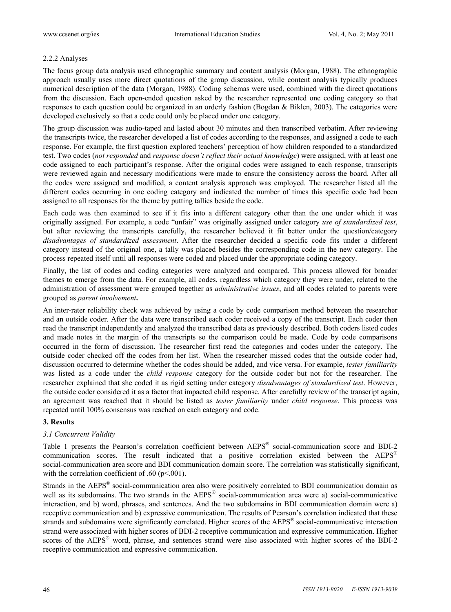#### 2.2.2 Analyses

The focus group data analysis used ethnographic summary and content analysis (Morgan, 1988). The ethnographic approach usually uses more direct quotations of the group discussion, while content analysis typically produces numerical description of the data (Morgan, 1988). Coding schemas were used, combined with the direct quotations from the discussion. Each open-ended question asked by the researcher represented one coding category so that responses to each question could be organized in an orderly fashion (Bogdan & Biklen, 2003). The categories were developed exclusively so that a code could only be placed under one category.

The group discussion was audio-taped and lasted about 30 minutes and then transcribed verbatim. After reviewing the transcripts twice, the researcher developed a list of codes according to the responses, and assigned a code to each response. For example, the first question explored teachers' perception of how children responded to a standardized test. Two codes (*not responded* and *response doesn't reflect their actual knowledge*) were assigned, with at least one code assigned to each participant's response. After the original codes were assigned to each response, transcripts were reviewed again and necessary modifications were made to ensure the consistency across the board. After all the codes were assigned and modified, a content analysis approach was employed. The researcher listed all the different codes occurring in one coding category and indicated the number of times this specific code had been assigned to all responses for the theme by putting tallies beside the code.

Each code was then examined to see if it fits into a different category other than the one under which it was originally assigned. For example, a code "unfair" was originally assigned under category *use of standardized test*, but after reviewing the transcripts carefully, the researcher believed it fit better under the question/category *disadvantages of standardized assessment*. After the researcher decided a specific code fits under a different category instead of the original one, a tally was placed besides the corresponding code in the new category. The process repeated itself until all responses were coded and placed under the appropriate coding category.

Finally, the list of codes and coding categories were analyzed and compared. This process allowed for broader themes to emerge from the data. For example, all codes, regardless which category they were under, related to the administration of assessment were grouped together as *administrative issues*, and all codes related to parents were grouped as *parent involvement***.** 

An inter-rater reliability check was achieved by using a code by code comparison method between the researcher and an outside coder. After the data were transcribed each coder received a copy of the transcript. Each coder then read the transcript independently and analyzed the transcribed data as previously described. Both coders listed codes and made notes in the margin of the transcripts so the comparison could be made. Code by code comparisons occurred in the form of discussion. The researcher first read the categories and codes under the category. The outside coder checked off the codes from her list. When the researcher missed codes that the outside coder had, discussion occurred to determine whether the codes should be added, and vice versa. For example, *tester familiarity* was listed as a code under the *child response* category for the outside coder but not for the researcher. The researcher explained that she coded it as rigid setting under category *disadvantages of standardized test*. However, the outside coder considered it as a factor that impacted child response. After carefully review of the transcript again, an agreement was reached that it should be listed as *tester familiarity* under *child response*. This process was repeated until 100% consensus was reached on each category and code.

#### **3. Results**

#### *3.1 Concurrent Validity*

Table 1 presents the Pearson's correlation coefficient between AEPS® social-communication score and BDI-2 communication scores. The result indicated that a positive correlation existed between the  $AEPS^{\mathcal{B}}$ social-communication area score and BDI communication domain score. The correlation was statistically significant, with the correlation coefficient of .60 ( $p$ <.001).

Strands in the AEPS® social-communication area also were positively correlated to BDI communication domain as well as its subdomains. The two strands in the AEPS<sup>®</sup> social-communication area were a) social-communicative interaction, and b) word, phrases, and sentences. And the two subdomains in BDI communication domain were a) receptive communication and b) expressive communication. The results of Pearson's correlation indicated that these strands and subdomains were significantly correlated. Higher scores of the AEPS® social-communicative interaction strand were associated with higher scores of BDI-2 receptive communication and expressive communication. Higher scores of the AEPS<sup>®</sup> word, phrase, and sentences strand were also associated with higher scores of the BDI-2 receptive communication and expressive communication.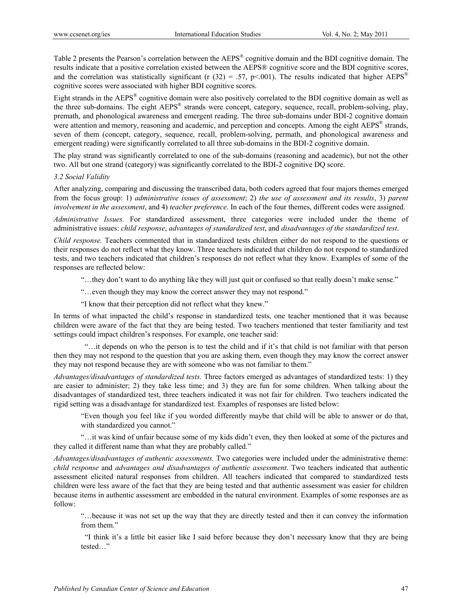Table 2 presents the Pearson's correlation between the AEPS<sup>®</sup> cognitive domain and the BDI cognitive domain. The results indicate that a positive correlation existed between the AEPS® cognitive score and the BDI cognitive scores, and the correlation was statistically significant (r  $(32) = .57$ , p<.001). The results indicated that higher AEPS<sup>®</sup> cognitive scores were associated with higher BDI cognitive scores.

Eight strands in the AEPS® cognitive domain were also positively correlated to the BDI cognitive domain as well as the three sub-domains. The eight AEPS® strands were concept, category, sequence, recall, problem-solving, play, premath, and phonological awareness and emergent reading. The three sub-domains under BDI-2 cognitive domain were attention and memory, reasoning and academic, and perception and concepts. Among the eight AEPS<sup>®</sup> strands, seven of them (concept, category, sequence, recall, problem-solving, permath, and phonological awareness and emergent reading) were significantly correlated to all three sub-domains in the BDI-2 cognitive domain.

The play strand was significantly correlated to one of the sub-domains (reasoning and academic), but not the other two. All but one strand (category) was significantly correlated to the BDI-2 cognitive DQ score.

#### *3.2 Social Validity*

After analyzing, comparing and discussing the transcribed data, both coders agreed that four majors themes emerged from the focus group: 1) *administrative issues of assessment*; 2) *the use of assessment and its results*, 3) *parent involvement in the assessment*, and 4) *teacher preference*. In each of the four themes, different codes were assigned.

*Administrative Issues.* For standardized assessment, three categories were included under the theme of administrative issues: *child response*, *advantages of standardized test*, and *disadvantages of the standardized test*.

*Child response.* Teachers commented that in standardized tests children either do not respond to the questions or their responses do not reflect what they know. Three teachers indicated that children do not respond to standardized tests, and two teachers indicated that children's responses do not reflect what they know. Examples of some of the responses are reflected below:

"…they don't want to do anything like they will just quit or confused so that really doesn't make sense."

"…even though they may know the correct answer they may not respond."

"I know that their perception did not reflect what they knew."

In terms of what impacted the child's response in standardized tests, one teacher mentioned that it was because children were aware of the fact that they are being tested. Two teachers mentioned that tester familiarity and test settings could impact children's responses. For example, one teacher said:

 "…it depends on who the person is to test the child and if it's that child is not familiar with that person then they may not respond to the question that you are asking them, even though they may know the correct answer they may not respond because they are with someone who was not familiar to them."

*Advantages/disadvantages of standardized tests.* Three factors emerged as advantages of standardized tests: 1) they are easier to administer; 2) they take less time; and 3) they are fun for some children. When talking about the disadvantages of standardized test, three teachers indicated it was not fair for children. Two teachers indicated the rigid setting was a disadvantage for standardized test. Examples of responses are listed below:

"Even though you feel like if you worded differently maybe that child will be able to answer or do that, with standardized you cannot."

"…it was kind of unfair because some of my kids didn't even, they then looked at some of the pictures and they called it different name than what they are probably called."

*Advantages/disadvantages of authentic assessments.* Two categories were included under the administrative theme: *child response* and *advantages and disadvantages of authentic assessment*. Two teachers indicated that authentic assessment elicited natural responses from children. All teachers indicated that compared to standardized tests children were less aware of the fact that they are being tested and that authentic assessment was easier for children because items in authentic assessment are embedded in the natural environment. Examples of some responses are as follow:

"…because it was not set up the way that they are directly tested and then it can convey the information from them"

 "I think it's a little bit easier like I said before because they don't necessary know that they are being tested…"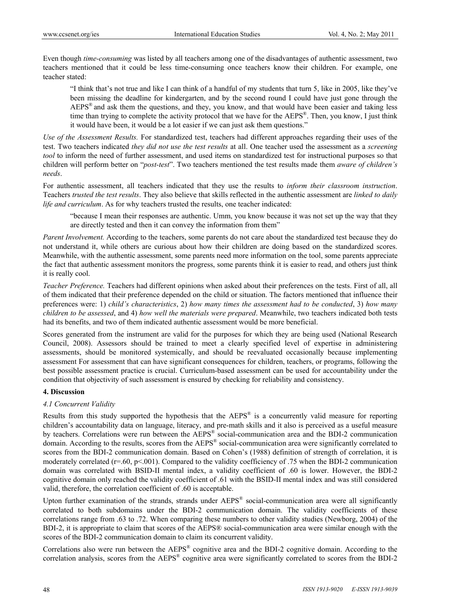Even though *time-consuming* was listed by all teachers among one of the disadvantages of authentic assessment, two teachers mentioned that it could be less time-consuming once teachers know their children. For example, one teacher stated:

"I think that's not true and like I can think of a handful of my students that turn 5, like in 2005, like they've been missing the deadline for kindergarten, and by the second round I could have just gone through the AEPS® and ask them the questions, and they, you know, and that would have been easier and taking less time than trying to complete the activity protocol that we have for the AEPS<sup>®</sup>. Then, you know, I just think it would have been, it would be a lot easier if we can just ask them questions."

*Use of the Assessment Results.* For standardized test, teachers had different approaches regarding their uses of the test. Two teachers indicated *they did not use the test results* at all. One teacher used the assessment as a *screening tool* to inform the need of further assessment, and used items on standardized test for instructional purposes so that children will perform better on "*post-test*". Two teachers mentioned the test results made them *aware of children's needs*.

For authentic assessment, all teachers indicated that they use the results to *inform their classroom instruction*. Teachers *trusted the test results*. They also believe that skills reflected in the authentic assessment are *linked to daily life and curriculum*. As for why teachers trusted the results, one teacher indicated:

"because I mean their responses are authentic. Umm, you know because it was not set up the way that they are directly tested and then it can convey the information from them"

*Parent Involvement.* According to the teachers, some parents do not care about the standardized test because they do not understand it, while others are curious about how their children are doing based on the standardized scores. Meanwhile, with the authentic assessment, some parents need more information on the tool, some parents appreciate the fact that authentic assessment monitors the progress, some parents think it is easier to read, and others just think it is really cool.

*Teacher Preference.* Teachers had different opinions when asked about their preferences on the tests. First of all, all of them indicated that their preference depended on the child or situation. The factors mentioned that influence their preferences were: 1) *child's characteristics*, 2) *how many times the assessment had to be conducted*, 3) *how many children to be assessed*, and 4) *how well the materials were prepared*. Meanwhile, two teachers indicated both tests had its benefits, and two of them indicated authentic assessment would be more beneficial.

Scores generated from the instrument are valid for the purposes for which they are being used (National Research Council, 2008). Assessors should be trained to meet a clearly specified level of expertise in administering assessments, should be monitored systemically, and should be reevaluated occasionally because implementing assessment For assessment that can have significant consequences for children, teachers, or programs, following the best possible assessment practice is crucial. Curriculum-based assessment can be used for accountability under the condition that objectivity of such assessment is ensured by checking for reliability and consistency.

#### **4. Discussion**

#### *4.1 Concurrent Validity*

Results from this study supported the hypothesis that the AEPS<sup>®</sup> is a concurrently valid measure for reporting children's accountability data on language, literacy, and pre-math skills and it also is perceived as a useful measure by teachers. Correlations were run between the AEPS® social-communication area and the BDI-2 communication domain. According to the results, scores from the AEPS® social-communication area were significantly correlated to scores from the BDI-2 communication domain. Based on Cohen's (1988) definition of strength of correlation, it is moderately correlated ( $r=.60$ ,  $p<.001$ ). Compared to the validity coefficiency of .75 when the BDI-2 communication domain was correlated with BSID-II mental index, a validity coefficient of .60 is lower. However, the BDI-2 cognitive domain only reached the validity coefficient of .61 with the BSID-II mental index and was still considered valid, therefore, the correlation coefficient of .60 is acceptable.

Upton further examination of the strands, strands under AEPS® social-communication area were all significantly correlated to both subdomains under the BDI-2 communication domain. The validity coefficients of these correlations range from .63 to .72. When comparing these numbers to other validity studies (Newborg, 2004) of the BDI-2, it is appropriate to claim that scores of the AEPS® social-communication area were similar enough with the scores of the BDI-2 communication domain to claim its concurrent validity.

Correlations also were run between the AEPS® cognitive area and the BDI-2 cognitive domain. According to the correlation analysis, scores from the AEPS<sup>®</sup> cognitive area were significantly correlated to scores from the BDI-2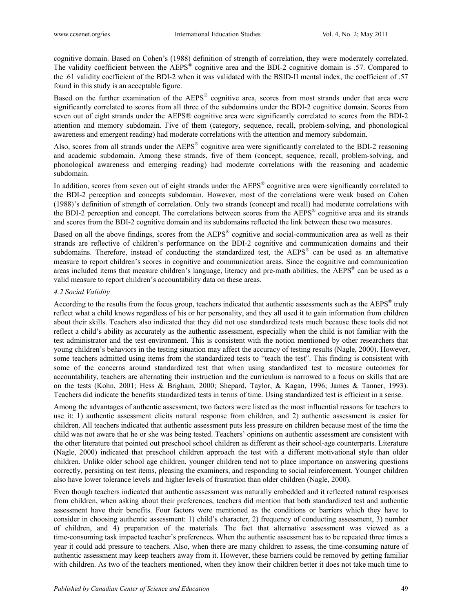cognitive domain. Based on Cohen's (1988) definition of strength of correlation, they were moderately correlated. The validity coefficient between the AEPS® cognitive area and the BDI-2 cognitive domain is .57. Compared to the .61 validity coefficient of the BDI-2 when it was validated with the BSID-II mental index, the coefficient of .57 found in this study is an acceptable figure.

Based on the further examination of the AEPS<sup>®</sup> cognitive area, scores from most strands under that area were significantly correlated to scores from all three of the subdomains under the BDI-2 cognitive domain. Scores from seven out of eight strands under the AEPS® cognitive area were significantly correlated to scores from the BDI-2 attention and memory subdomain. Five of them (category, sequence, recall, problem-solving, and phonological awareness and emergent reading) had moderate correlations with the attention and memory subdomain.

Also, scores from all strands under the AEPS<sup>®</sup> cognitive area were significantly correlated to the BDI-2 reasoning and academic subdomain. Among these strands, five of them (concept, sequence, recall, problem-solving, and phonological awareness and emerging reading) had moderate correlations with the reasoning and academic subdomain.

In addition, scores from seven out of eight strands under the AEPS® cognitive area were significantly correlated to the BDI-2 perception and concepts subdomain. However, most of the correlations were weak based on Cohen (1988)'s definition of strength of correlation. Only two strands (concept and recall) had moderate correlations with the BDI-2 perception and concept. The correlations between scores from the AEPS® cognitive area and its strands and scores from the BDI-2 cognitive domain and its subdomains reflected the link between these two measures.

Based on all the above findings, scores from the AEPS<sup>®</sup> cognitive and social-communication area as well as their strands are reflective of children's performance on the BDI-2 cognitive and communication domains and their subdomains. Therefore, instead of conducting the standardized test, the AEPS<sup>®</sup> can be used as an alternative measure to report children's scores in cognitive and communication areas. Since the cognitive and communication areas included items that measure children's language, literacy and pre-math abilities, the AEPS<sup>®</sup> can be used as a valid measure to report children's accountability data on these areas.

#### *4.2 Social Validity*

According to the results from the focus group, teachers indicated that authentic assessments such as the  $AEPS^*$  truly reflect what a child knows regardless of his or her personality, and they all used it to gain information from children about their skills. Teachers also indicated that they did not use standardized tests much because these tools did not reflect a child's ability as accurately as the authentic assessment, especially when the child is not familiar with the test administrator and the test environment. This is consistent with the notion mentioned by other researchers that young children's behaviors in the testing situation may affect the accuracy of testing results (Nagle, 2000). However, some teachers admitted using items from the standardized tests to "teach the test". This finding is consistent with some of the concerns around standardized test that when using standardized test to measure outcomes for accountability, teachers are alternating their instruction and the curriculum is narrowed to a focus on skills that are on the tests (Kohn, 2001; Hess & Brigham, 2000; Shepard, Taylor, & Kagan, 1996; James & Tanner, 1993). Teachers did indicate the benefits standardized tests in terms of time. Using standardized test is efficient in a sense.

Among the advantages of authentic assessment, two factors were listed as the most influential reasons for teachers to use it: 1) authentic assessment elicits natural response from children, and 2) authentic assessment is easier for children. All teachers indicated that authentic assessment puts less pressure on children because most of the time the child was not aware that he or she was being tested. Teachers' opinions on authentic assessment are consistent with the other literature that pointed out preschool school children as different as their school-age counterparts. Literature (Nagle, 2000) indicated that preschool children approach the test with a different motivational style than older children. Unlike older school age children, younger children tend not to place importance on answering questions correctly, persisting on test items, pleasing the examiners, and responding to social reinforcement. Younger children also have lower tolerance levels and higher levels of frustration than older children (Nagle, 2000).

Even though teachers indicated that authentic assessment was naturally embedded and it reflected natural responses from children, when asking about their preferences, teachers did mention that both standardized test and authentic assessment have their benefits. Four factors were mentioned as the conditions or barriers which they have to consider in choosing authentic assessment: 1) child's character, 2) frequency of conducting assessment, 3) number of children, and 4) preparation of the materials. The fact that alternative assessment was viewed as a time-consuming task impacted teacher's preferences. When the authentic assessment has to be repeated three times a year it could add pressure to teachers. Also, when there are many children to assess, the time-consuming nature of authentic assessment may keep teachers away from it. However, these barriers could be removed by getting familiar with children. As two of the teachers mentioned, when they know their children better it does not take much time to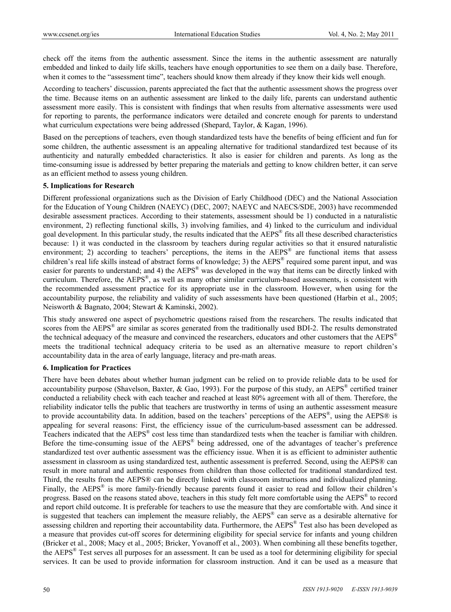check off the items from the authentic assessment. Since the items in the authentic assessment are naturally embedded and linked to daily life skills, teachers have enough opportunities to see them on a daily base. Therefore, when it comes to the "assessment time", teachers should know them already if they know their kids well enough.

According to teachers' discussion, parents appreciated the fact that the authentic assessment shows the progress over the time. Because items on an authentic assessment are linked to the daily life, parents can understand authentic assessment more easily. This is consistent with findings that when results from alternative assessments were used for reporting to parents, the performance indicators were detailed and concrete enough for parents to understand what curriculum expectations were being addressed (Shepard, Taylor, & Kagan, 1996).

Based on the perceptions of teachers, even though standardized tests have the benefits of being efficient and fun for some children, the authentic assessment is an appealing alternative for traditional standardized test because of its authenticity and naturally embedded characteristics. It also is easier for children and parents. As long as the time-consuming issue is addressed by better preparing the materials and getting to know children better, it can serve as an efficient method to assess young children.

#### **5. Implications for Research**

Different professional organizations such as the Division of Early Childhood (DEC) and the National Association for the Education of Young Children (NAEYC) (DEC, 2007; NAEYC and NAECS/SDE, 2003) have recommended desirable assessment practices. According to their statements, assessment should be 1) conducted in a naturalistic environment, 2) reflecting functional skills, 3) involving families, and 4) linked to the curriculum and individual goal development. In this particular study, the results indicated that the AEPS® fits all these described characteristics because: 1) it was conducted in the classroom by teachers during regular activities so that it ensured naturalistic environment; 2) according to teachers' perceptions, the items in the AEPS<sup>®</sup> are functional items that assess children's real life skills instead of abstract forms of knowledge; 3) the AEPS® required some parent input, and was easier for parents to understand; and 4) the AEPS® was developed in the way that items can be directly linked with curriculum. Therefore, the AEPS®, as well as many other similar curriculum-based assessments, is consistent with the recommended assessment practice for its appropriate use in the classroom. However, when using for the accountability purpose, the reliability and validity of such assessments have been questioned (Harbin et al., 2005; Neisworth & Bagnato, 2004; Stewart & Kaminski, 2002).

This study answered one aspect of psychometric questions raised from the researchers. The results indicated that scores from the AEPS $^{\circ}$  are similar as scores generated from the traditionally used BDI-2. The results demonstrated the technical adequacy of the measure and convinced the researchers, educators and other customers that the AEPS<sup>®</sup> meets the traditional technical adequacy criteria to be used as an alternative measure to report children's accountability data in the area of early language, literacy and pre-math areas.

#### **6. Implication for Practices**

There have been debates about whether human judgment can be relied on to provide reliable data to be used for accountability purpose (Shavelson, Baxter, & Gao, 1993). For the purpose of this study, an AEPS<sup>®</sup> certified trainer conducted a reliability check with each teacher and reached at least 80% agreement with all of them. Therefore, the reliability indicator tells the public that teachers are trustworthy in terms of using an authentic assessment measure to provide accountability data. In addition, based on the teachers' perceptions of the AEPS®, using the AEPS® is appealing for several reasons: First, the efficiency issue of the curriculum-based assessment can be addressed. Teachers indicated that the AEPS® cost less time than standardized tests when the teacher is familiar with children. Before the time-consuming issue of the AEPS® being addressed, one of the advantages of teacher's preference standardized test over authentic assessment was the efficiency issue. When it is as efficient to administer authentic assessment in classroom as using standardized test, authentic assessment is preferred. Second, using the AEPS® can result in more natural and authentic responses from children than those collected for traditional standardized test. Third, the results from the AEPS® can be directly linked with classroom instructions and individualized planning. Finally, the AEPS<sup>®</sup> is more family-friendly because parents found it easier to read and follow their children's progress. Based on the reasons stated above, teachers in this study felt more comfortable using the AEPS® to record and report child outcome. It is preferable for teachers to use the measure that they are comfortable with. And since it is suggested that teachers can implement the measure reliably, the AEPS® can serve as a desirable alternative for assessing children and reporting their accountability data. Furthermore, the AEPS<sup>®</sup> Test also has been developed as a measure that provides cut-off scores for determining eligibility for special service for infants and young children (Bricker et al., 2008; Macy et al., 2005; Bricker, Yovanoff et al., 2003). When combining all these benefits together, the AEPS® Test serves all purposes for an assessment. It can be used as a tool for determining eligibility for special services. It can be used to provide information for classroom instruction. And it can be used as a measure that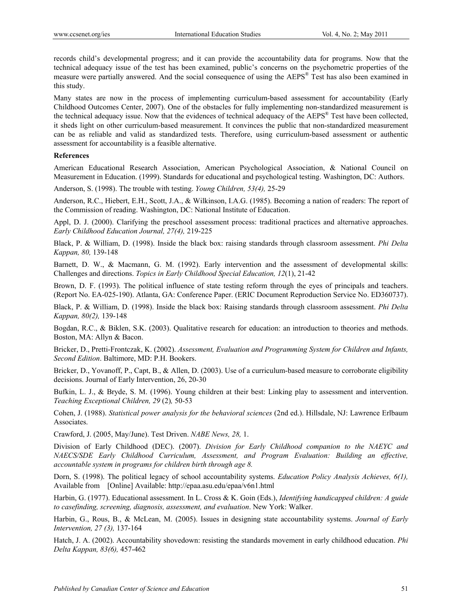records child's developmental progress; and it can provide the accountability data for programs. Now that the technical adequacy issue of the test has been examined, public's concerns on the psychometric properties of the measure were partially answered. And the social consequence of using the AEPS® Test has also been examined in this study.

Many states are now in the process of implementing curriculum-based assessment for accountability (Early Childhood Outcomes Center, 2007). One of the obstacles for fully implementing non-standardized measurement is the technical adequacy issue. Now that the evidences of technical adequacy of the AEPS® Test have been collected, it sheds light on other curriculum-based measurement. It convinces the public that non-standardized measurement can be as reliable and valid as standardized tests. Therefore, using curriculum-based assessment or authentic assessment for accountability is a feasible alternative.

#### **References**

American Educational Research Association, American Psychological Association, & National Council on Measurement in Education. (1999). Standards for educational and psychological testing. Washington, DC: Authors.

Anderson, S. (1998). The trouble with testing. *Young Children, 53(4),* 25-29

Anderson, R.C., Hiebert, E.H., Scott, J.A., & Wilkinson, I.A.G. (1985). Becoming a nation of readers: The report of the Commission of reading. Washington, DC: National Institute of Education.

Appl, D. J. (2000). Clarifying the preschool assessment process: traditional practices and alternative approaches. *Early Childhood Education Journal, 27(4),* 219-225

Black, P. & William, D. (1998). Inside the black box: raising standards through classroom assessment. *Phi Delta Kappan, 80,* 139-148

Barnett, D. W., & Macmann, G. M. (1992). Early intervention and the assessment of developmental skills: Challenges and directions. *Topics in Early Childhood Special Education, 12*(1), 21-42

Brown, D. F. (1993). The political influence of state testing reform through the eyes of principals and teachers. (Report No. EA-025-190). Atlanta, GA: Conference Paper. (ERIC Document Reproduction Service No. ED360737).

Black, P. & William, D. (1998). Inside the black box: Raising standards through classroom assessment. *Phi Delta Kappan, 80(2),* 139-148

Bogdan, R.C., & Biklen, S.K. (2003). Qualitative research for education: an introduction to theories and methods. Boston, MA: Allyn & Bacon.

Bricker, D., Pretti-Frontczak, K. (2002). *Assessment, Evaluation and Programming System for Children and Infants, Second Edition*. Baltimore, MD: P.H. Bookers.

Bricker, D., Yovanoff, P., Capt, B., & Allen, D. (2003). Use of a curriculum-based measure to corroborate eligibility decisions. Journal of Early Intervention, 26, 20-30

Bufkin, L. J., & Bryde, S. M. (1996). Young children at their best: Linking play to assessment and intervention. *Teaching Exceptional Children, 29* (2)*,* 50-53

Cohen, J. (1988). *Statistical power analysis for the behavioral sciences* (2nd ed.). Hillsdale, NJ: Lawrence Erlbaum Associates.

Crawford, J. (2005, May/June). Test Driven. *NABE News, 28,* 1.

Division of Early Childhood (DEC). (2007). *Division for Early Childhood companion to the NAEYC and NAECS/SDE Early Childhood Curriculum, Assessment, and Program Evaluation: Building an effective, accountable system in programs for children birth through age 8.* 

Dorn, S. (1998). The political legacy of school accountability systems. *Education Policy Analysis Achieves, 6(1),* Available from [Online] Available: http://epaa.asu.edu/epaa/v6n1.html

Harbin, G. (1977). Educational assessment. In L. Cross & K. Goin (Eds.), *Identifying handicapped children: A guide to casefinding, screening, diagnosis, assessment, and evaluation*. New York: Walker.

Harbin, G., Rous, B., & McLean, M. (2005). Issues in designing state accountability systems. *Journal of Early Intervention, 27 (3),* 137-164

Hatch, J. A. (2002). Accountability shovedown: resisting the standards movement in early childhood education. *Phi Delta Kappan, 83(6),* 457-462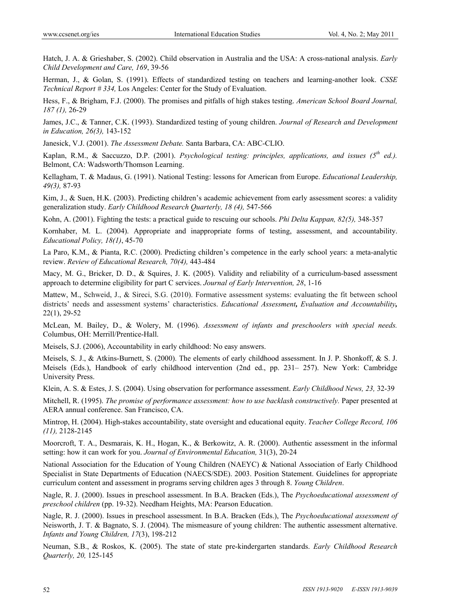Hatch, J. A. & Grieshaber, S. (2002). Child observation in Australia and the USA: A cross-national analysis. *Early Child Development and Care, 169*, 39-56

Herman, J., & Golan, S. (1991). Effects of standardized testing on teachers and learning-another look. *CSSE Technical Report # 334,* Los Angeles: Center for the Study of Evaluation.

Hess, F., & Brigham, F.J. (2000). The promises and pitfalls of high stakes testing. *American School Board Journal, 187 (1),* 26-29

James, J.C., & Tanner, C.K. (1993). Standardized testing of young children. *Journal of Research and Development in Education, 26(3),* 143-152

Janesick, V.J. (2001). *The Assessment Debate.* Santa Barbara, CA: ABC-CLIO.

Kaplan, R.M., & Saccuzzo, D.P. (2001). *Psychological testing: principles, applications, and issues (5<sup>th</sup> ed.).* Belmont, CA: Wadsworth/Thomson Learning.

Kellagham, T. & Madaus, G. (1991). National Testing: lessons for American from Europe. *Educational Leadership, 49(3),* 87-93

Kim, J., & Suen, H.K. (2003). Predicting children's academic achievement from early assessment scores: a validity generalization study. *Early Childhood Research Quarterly, 18 (4),* 547-566

Kohn, A. (2001). Fighting the tests: a practical guide to rescuing our schools. *Phi Delta Kappan, 82(5),* 348-357

Kornhaber, M. L. (2004). Appropriate and inappropriate forms of testing, assessment, and accountability. *Educational Policy, 18(1)*, 45-70

La Paro, K.M., & Pianta, R.C. (2000). Predicting children's competence in the early school years: a meta-analytic review. *Review of Educational Research, 70(4),* 443-484

Macy, M. G., Bricker, D. D., & Squires, J. K. (2005). Validity and reliability of a curriculum-based assessment approach to determine eligibility for part C services. *Journal of Early Intervention, 28*, 1-16

Mattew, M., Schweid, J., & Sireci, S.G. (2010). Formative assessment systems: evaluating the fit between school districts' needs and assessment systems' characteristics. *Educational Assessment, Evaluation and Accountability,* 22(1), 29-52

McLean, M. Bailey, D., & Wolery, M. (1996). *Assessment of infants and preschoolers with special needs.* Columbus, OH: Merrill/Prentice-Hall.

Meisels, S.J. (2006), Accountability in early childhood: No easy answers.

Meisels, S. J., & Atkins-Burnett, S. (2000). The elements of early childhood assessment. In J. P. Shonkoff, & S. J. Meisels (Eds.), Handbook of early childhood intervention (2nd ed., pp. 231– 257). New York: Cambridge University Press.

Klein, A. S. & Estes, J. S. (2004). Using observation for performance assessment. *Early Childhood News, 23,* 32-39

Mitchell, R. (1995). *The promise of performance assessment: how to use backlash constructively.* Paper presented at AERA annual conference. San Francisco, CA.

Mintrop, H. (2004). High-stakes accountability, state oversight and educational equity. *Teacher College Record, 106 (11),* 2128-2145

Moorcroft, T. A., Desmarais, K. H., Hogan, K., & Berkowitz, A. R. (2000). Authentic assessment in the informal setting: how it can work for you. *Journal of Environmental Education,* 31(3), 20-24

National Association for the Education of Young Children (NAEYC) & National Association of Early Childhood Specialist in State Departments of Education (NAECS/SDE). 2003. Position Statement. Guidelines for appropriate curriculum content and assessment in programs serving children ages 3 through 8. *Young Children*.

Nagle, R. J. (2000). Issues in preschool assessment. In B.A. Bracken (Eds.), The *Psychoeducational assessment of preschool children* (pp. 19-32). Needham Heights, MA: Pearson Education.

Nagle, R. J. (2000). Issues in preschool assessment. In B.A. Bracken (Eds.), The *Psychoeducational assessment of*  Neisworth, J. T. & Bagnato, S. J. (2004). The mismeasure of young children: The authentic assessment alternative. *Infants and Young Children, 17*(3), 198-212

Neuman, S.B., & Roskos, K. (2005). The state of state pre-kindergarten standards. *Early Childhood Research Quarterly, 20,* 125-145